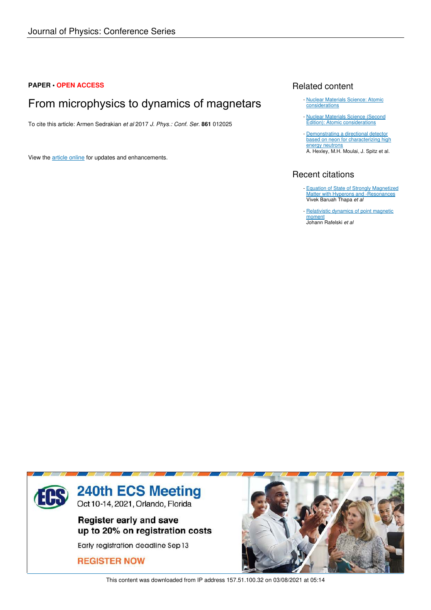## **PAPER • OPEN ACCESS**

# From microphysics to dynamics of magnetars

To cite this article: Armen Sedrakian *et al* 2017 *J. Phys.: Conf. Ser.* **861** 012025

View the article online for updates and enhancements.

# Related content

- Nuclear Materials Science: Atomic **considerations**
- Nuclear Materials Science (Second Edition): Atomic considerations
- Demonstrating a directional detector based on neon for characterizing high energy neutrons -
- A. Hexley, M.H. Moulai, J. Spitz et al.

# Recent citations

- Equation of State of Strongly Magnetized **Matter with Hyperons and -Resonances** Vivek Baruah Thapa *et al* -
- Relativistic dynamics of point magnetic moment Johann Rafelski *et al*



This content was downloaded from IP address 157.51.100.32 on 03/08/2021 at 05:14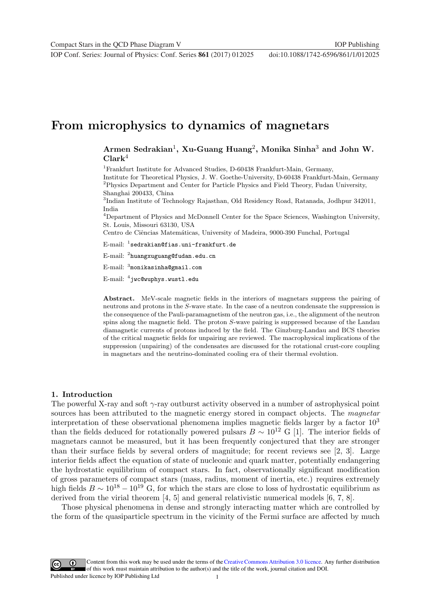# From microphysics to dynamics of magnetars

Armen Sedrakian<sup>1</sup>, Xu-Guang Huang<sup>2</sup>, Monika Sinha<sup>3</sup> and John W.  $Clark<sup>4</sup>$ 

<sup>1</sup>Frankfurt Institute for Advanced Studies, D-60438 Frankfurt-Main, Germany, Institute for Theoretical Physics, J. W. Goethe-University, D-60438 Frankfurt-Main, Germany <sup>2</sup>Physics Department and Center for Particle Physics and Field Theory, Fudan University, Shanghai 200433, China

3 Indian Institute of Technology Rajasthan, Old Residency Road, Ratanada, Jodhpur 342011, India

<sup>4</sup>Department of Physics and McDonnell Center for the Space Sciences, Washington University, St. Louis, Missouri 63130, USA

Centro de Ciências Matemáticas, University of Madeira, 9000-390 Funchal, Portugal

 $\mathrm{E}\text{-}\mathrm{mail:}\;{}\;{}\mathrm{!}\;{}\mathrm{sedrakian}$ @fias.uni-frankfurt.de

 $\mathrm{E}\textrm{-}\mathrm{mail:}\;^2$ huangxuguang@fudan.edu.cn

 $\boldsymbol{\text{E}}\text{-mail: }^3$ monikasinha@gmail.com

 $\boldsymbol{\text{E}}\text{-mail: }^4$ jwc@wuphys.wustl.edu

Abstract. MeV-scale magnetic fields in the interiors of magnetars suppress the pairing of neutrons and protons in the S-wave state. In the case of a neutron condensate the suppression is the consequence of the Pauli-paramagnetism of the neutron gas, i.e., the alignment of the neutron spins along the magnetic field. The proton S-wave pairing is suppressed because of the Landau diamagnetic currents of protons induced by the field. The Ginzburg-Landau and BCS theories of the critical magnetic fields for unpairing are reviewed. The macrophysical implications of the suppression (unpairing) of the condensates are discussed for the rotational crust-core coupling in magnetars and the neutrino-dominated cooling era of their thermal evolution.

#### 1. Introduction

The powerful X-ray and soft  $\gamma$ -ray outburst activity observed in a number of astrophysical point sources has been attributed to the magnetic energy stored in compact objects. The magnetar interpretation of these observational phenomena implies magnetic fields larger by a factor  $10^3$ than the fields deduced for rotationally powered pulsars  $B \sim 10^{12}$  G [1]. The interior fields of magnetars cannot be measured, but it has been frequently conjectured that they are stronger than their surface fields by several orders of magnitude; for recent reviews see [2, 3]. Large interior fields affect the equation of state of nucleonic and quark matter, potentially endangering the hydrostatic equilibrium of compact stars. In fact, observationally significant modification of gross parameters of compact stars (mass, radius, moment of inertia, etc.) requires extremely high fields  $B \sim 10^{18} - 10^{19}$  G, for which the stars are close to loss of hydrostatic equilibrium as derived from the virial theorem [4, 5] and general relativistic numerical models [6, 7, 8].

Those physical phenomena in dense and strongly interacting matter which are controlled by the form of the quasiparticle spectrum in the vicinity of the Fermi surface are affected by much

Content from this work may be used under the terms of theCreative Commons Attribution 3.0 licence. Any further distribution  $\bigcirc$ of this work must maintain attribution to the author(s) and the title of the work, journal citation and DOI. Published under licence by IOP Publishing Ltd 1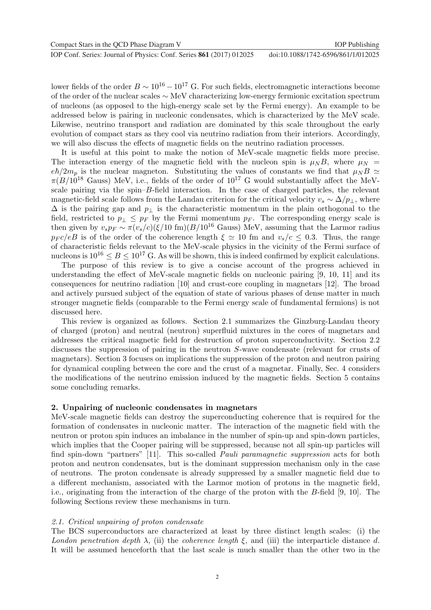lower fields of the order  $B \sim 10^{16} - 10^{17}$  G. For such fields, electromagnetic interactions become of the order of the nuclear scales ∼ MeV characterizing low-energy fermionic excitation spectrum of nucleons (as opposed to the high-energy scale set by the Fermi energy). An example to be addressed below is pairing in nucleonic condensates, which is characterized by the MeV scale. Likewise, neutrino transport and radiation are dominated by this scale throughout the early evolution of compact stars as they cool via neutrino radiation from their interiors. Accordingly, we will also discuss the effects of magnetic fields on the neutrino radiation processes.

It is useful at this point to make the notion of MeV-scale magnetic fields more precise. The interaction energy of the magnetic field with the nucleon spin is  $\mu_N B$ , where  $\mu_N =$  $e\hbar/2m_p$  is the nuclear magneton. Substituting the values of constants we find that  $\mu_N B \simeq$  $\pi (B/10^{18} \text{ Gauss})$  MeV, i.e., fields of the order of  $10^{17}$  G would substantially affect the MeVscale pairing via the spin–B-field interaction. In the case of charged particles, the relevant magnetic-field scale follows from the Landau criterion for the critical velocity  $v_s \sim \Delta/p_{\perp}$ , where  $\Delta$  is the pairing gap and  $p_{\perp}$  is the characteristic momentum in the plain orthogonal to the field, restricted to  $p_{\perp} \leq p_F$  by the Fermi momentum  $p_F$ . The corresponding energy scale is then given by  $v_s p_F \sim \pi (v_s/c) (\xi/10 \text{ fm}) (B/10^{16} \text{ Gauss})$  MeV, assuming that the Larmor radius  $p_F c/eB$  is of the order of the coherence length  $\xi \simeq 10$  fm and  $v_s/c \leq 0.3$ . Thus, the range of characteristic fields relevant to the MeV-scale physics in the vicinity of the Fermi surface of nucleons is  $10^{16} \leq B \leq 10^{17}$  G. As will be shown, this is indeed confirmed by explicit calculations.

The purpose of this review is to give a concise account of the progress achieved in understanding the effect of MeV-scale magnetic fields on nucleonic pairing [9, 10, 11] and its consequences for neutrino radiation [10] and crust-core coupling in magnetars [12]. The broad and actively pursued subject of the equation of state of various phases of dense matter in much stronger magnetic fields (comparable to the Fermi energy scale of fundamental fermions) is not discussed here.

This review is organized as follows. Section 2.1 summarizes the Ginzburg-Landau theory of charged (proton) and neutral (neutron) superfluid mixtures in the cores of magnetars and addresses the critical magnetic field for destruction of proton superconductivity. Section 2.2 discusses the suppression of pairing in the neutron S-wave condensate (relevant for crusts of magnetars). Section 3 focuses on implications the suppression of the proton and neutron pairing for dynamical coupling between the core and the crust of a magnetar. Finally, Sec. 4 considers the modifications of the neutrino emission induced by the magnetic fields. Section 5 contains some concluding remarks.

#### 2. Unpairing of nucleonic condensates in magnetars

MeV-scale magnetic fields can destroy the superconducting coherence that is required for the formation of condensates in nucleonic matter. The interaction of the magnetic field with the neutron or proton spin induces an imbalance in the number of spin-up and spin-down particles, which implies that the Cooper pairing will be suppressed, because not all spin-up particles will find spin-down "partners" [11]. This so-called *Pauli paramagnetic suppression* acts for both proton and neutron condensates, but is the dominant suppression mechanism only in the case of neutrons. The proton condensate is already suppressed by a smaller magnetic field due to a different mechanism, associated with the Larmor motion of protons in the magnetic field, i.e., originating from the interaction of the charge of the proton with the B-field [9, 10]. The following Sections review these mechanisms in turn.

#### 2.1. Critical unpairing of proton condensate

The BCS superconductors are characterized at least by three distinct length scales: (i) the London penetration depth  $\lambda$ , (ii) the coherence length  $\xi$ , and (iii) the interparticle distance d. It will be assumed henceforth that the last scale is much smaller than the other two in the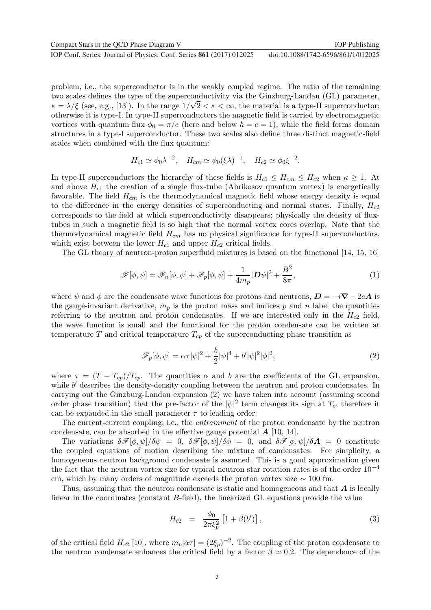problem, i.e., the superconductor is in the weakly coupled regime. The ratio of the remaining two scales defines the type of the superconductivity via the Ginzburg-Landau (GL) parameter,  $\kappa = \lambda/\xi$  (see, e.g., [13]). In the range  $1/\sqrt{2} < \kappa < \infty$ , the material is a type-II superconductor; otherwise it is type-I. In type-II superconductors the magnetic field is carried by electromagnetic vortices with quantum flux  $\phi_0 = \pi/e$  (here and below  $\hbar = c = 1$ ), while the field forms domain structures in a type-I superconductor. These two scales also define three distinct magnetic-field scales when combined with the flux quantum:

$$
H_{c1} \simeq \phi_0 \lambda^{-2}, \quad H_{cm} \simeq \phi_0 (\xi \lambda)^{-1}, \quad H_{c2} \simeq \phi_0 \xi^{-2}.
$$

In type-II superconductors the hierarchy of these fields is  $H_{c1} \leq H_{cm} \leq H_{c2}$  when  $\kappa \geq 1$ . At and above  $H_{c1}$  the creation of a single flux-tube (Abrikosov quantum vortex) is energetically favorable. The field  $H_{cm}$  is the thermodynamical magnetic field whose energy density is equal to the difference in the energy densities of superconducting and normal states. Finally,  $H_{c2}$ corresponds to the field at which superconductivity disappears; physically the density of fluxtubes in such a magnetic field is so high that the normal vortex cores overlap. Note that the thermodynamical magnetic field  $H_{cm}$  has no physical significance for type-II superconductors, which exist between the lower  $H_{c1}$  and upper  $H_{c2}$  critical fields.

The GL theory of neutron-proton superfluid mixtures is based on the functional [14, 15, 16]

$$
\mathscr{F}[\phi,\psi] = \mathscr{F}_n[\phi,\psi] + \mathscr{F}_p[\phi,\psi] + \frac{1}{4m_p}|\mathbf{D}\psi|^2 + \frac{B^2}{8\pi},\tag{1}
$$

where  $\psi$  and  $\phi$  are the condensate wave functions for protons and neutrons,  $\mathbf{D} = -i\mathbf{\nabla} - 2e\mathbf{A}$  is the gauge-invariant derivative,  $m_p$  is the proton mass and indices p and n label the quantities referring to the neutron and proton condensates. If we are interested only in the  $H_{c2}$  field, the wave function is small and the functional for the proton condensate can be written at temperature T and critical temperature  $T_{cp}$  of the superconducting phase transition as

$$
\mathscr{F}_p[\phi,\psi] = \alpha \tau |\psi|^2 + \frac{b}{2} |\psi|^4 + b' |\psi|^2 |\phi|^2,\tag{2}
$$

where  $\tau = (T - T_{cp})/T_{cp}$ . The quantities  $\alpha$  and b are the coefficients of the GL expansion, while  $b'$  describes the density-density coupling between the neutron and proton condensates. In carrying out the Ginzburg-Landau expansion (2) we have taken into account (assuming second order phase transition) that the pre-factor of the  $|\psi|^2$  term changes its sign at  $T_c$ , therefore it can be expanded in the small parameter  $\tau$  to leading order.

The current-current coupling, i.e., the *entrainment* of the proton condensate by the neutron condensate, can be absorbed in the effective gauge potential  $\bf{A}$  [10, 14].

The variations  $\delta\mathscr{F}[\phi,\psi]/\delta\psi = 0$ ,  $\delta\mathscr{F}[\phi,\psi]/\delta\phi = 0$ , and  $\delta\mathscr{F}[\phi,\psi]/\delta A = 0$  constitute the coupled equations of motion describing the mixture of condensates. For simplicity, a homogeneous neutron background condensate is assumed. This is a good approximation given the fact that the neutron vortex size for typical neutron star rotation rates is of the order  $10^{-4}$ cm, which by many orders of magnitude exceeds the proton vortex size  $\sim 100$  fm.

Thus, assuming that the neutron condensate is static and homogeneous and that  $\bm{A}$  is locally linear in the coordinates (constant B-field), the linearized GL equations provide the value

$$
H_{c2} = \frac{\phi_0}{2\pi\xi_p^2} \left[ 1 + \beta(b') \right], \tag{3}
$$

of the critical field  $H_{c2}$  [10], where  $m_p|\alpha\tau| = (2\xi_p)^{-2}$ . The coupling of the proton condensate to the neutron condensate enhances the critical field by a factor  $\beta \simeq 0.2$ . The dependence of the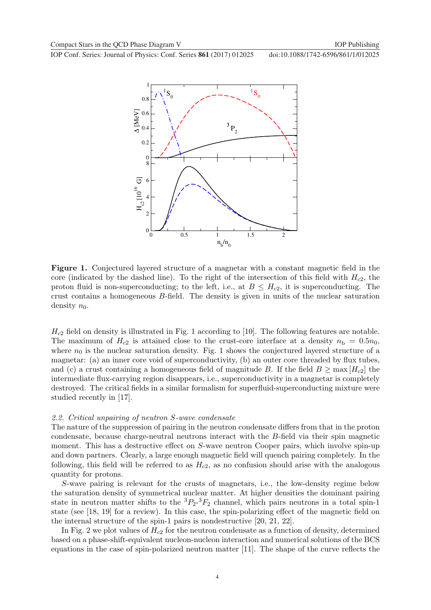

Figure 1. Conjectured layered structure of a magnetar with a constant magnetic field in the core (indicated by the dashed line). To the right of the intersection of this field with  $H_{c2}$ , the proton fluid is non-superconducting; to the left, i.e., at  $B \leq H_{c2}$ , it is superconducting. The crust contains a homogeneous B-field. The density is given in units of the nuclear saturation density  $n_0$ .

 $H_{c2}$  field on density is illustrated in Fig. 1 according to [10]. The following features are notable. The maximum of  $H_{c2}$  is attained close to the crust-core interface at a density  $n_{\rm b} = 0.5n_0$ , where  $n_0$  is the nuclear saturation density. Fig. 1 shows the conjectured layered structure of a magnetar: (a) an inner core void of superconductivity, (b) an outer core threaded by flux tubes, and (c) a crust containing a homogeneous field of magnitude B. If the field  $B > \max[H_{c2}]$  the intermediate flux-carrying region disappears, i.e., superconductivity in a magnetar is completely destroyed. The critical fields in a similar formalism for superfluid-superconducting mixture were studied recently in [17].

#### 2.2. Critical unpairing of neutron S-wave condensate

The nature of the suppression of pairing in the neutron condensate differs from that in the proton condensate, because charge-neutral neutrons interact with the B-field via their spin magnetic moment. This has a destructive effect on S-wave neutron Cooper pairs, which involve spin-up and down partners. Clearly, a large enough magnetic field will quench pairing completely. In the following, this field will be referred to as  $H_{c2}$ , as no confusion should arise with the analogous quantity for protons.

S-wave pairing is relevant for the crusts of magnetars, i.e., the low-density regime below the saturation density of symmetrical nuclear matter. At higher densities the dominant pairing state in neutron matter shifts to the  ${}^{3}P_{2}$ - ${}^{3}F_{2}$  channel, which pairs neutrons in a total spin-1 state (see [18, 19] for a review). In this case, the spin-polarizing effect of the magnetic field on the internal structure of the spin-1 pairs is nondestructive [20, 21, 22].

In Fig. 2 we plot values of  $H_{c2}$  for the neutron condensate as a function of density, determined based on a phase-shift-equivalent nucleon-nucleon interaction and numerical solutions of the BCS equations in the case of spin-polarized neutron matter [11]. The shape of the curve reflects the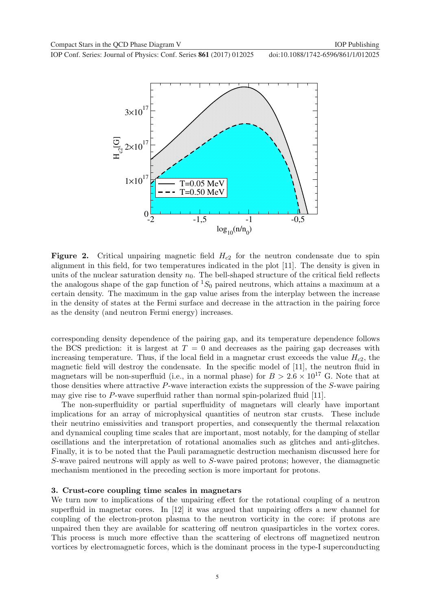

**Figure 2.** Critical unpairing magnetic field  $H_{c2}$  for the neutron condensate due to spin alignment in this field, for two temperatures indicated in the plot [11]. The density is given in units of the nuclear saturation density  $n_0$ . The bell-shaped structure of the critical field reflects the analogous shape of the gap function of  ${}^{1}S_{0}$  paired neutrons, which attains a maximum at a certain density. The maximum in the gap value arises from the interplay between the increase in the density of states at the Fermi surface and decrease in the attraction in the pairing force as the density (and neutron Fermi energy) increases.

corresponding density dependence of the pairing gap, and its temperature dependence follows the BCS prediction: it is largest at  $T = 0$  and decreases as the pairing gap decreases with increasing temperature. Thus, if the local field in a magnetar crust exceeds the value  $H_{c2}$ , the magnetic field will destroy the condensate. In the specific model of [11], the neutron fluid in magnetars will be non-superfluid (i.e., in a normal phase) for  $B > 2.6 \times 10^{17}$  G. Note that at those densities where attractive P-wave interaction exists the suppression of the S-wave pairing may give rise to P-wave superfluid rather than normal spin-polarized fluid [11].

The non-superfluidity or partial superfluidity of magnetars will clearly have important implications for an array of microphysical quantities of neutron star crusts. These include their neutrino emissivities and transport properties, and consequently the thermal relaxation and dynamical coupling time scales that are important, most notably, for the damping of stellar oscillations and the interpretation of rotational anomalies such as glitches and anti-glitches. Finally, it is to be noted that the Pauli paramagnetic destruction mechanism discussed here for S-wave paired neutrons will apply as well to S-wave paired protons; however, the diamagnetic mechanism mentioned in the preceding section is more important for protons.

#### 3. Crust-core coupling time scales in magnetars

We turn now to implications of the unpairing effect for the rotational coupling of a neutron superfluid in magnetar cores. In [12] it was argued that unpairing offers a new channel for coupling of the electron-proton plasma to the neutron vorticity in the core: if protons are unpaired then they are available for scattering off neutron quasiparticles in the vortex cores. This process is much more effective than the scattering of electrons off magnetized neutron vortices by electromagnetic forces, which is the dominant process in the type-I superconducting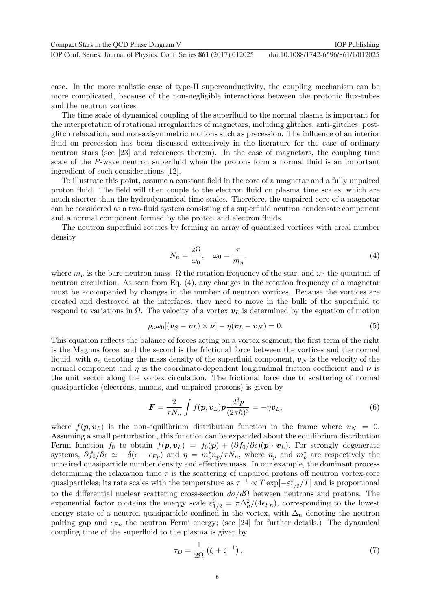case. In the more realistic case of type-II superconductivity, the coupling mechanism can be more complicated, because of the non-negligible interactions between the protonic flux-tubes and the neutron vortices.

The time scale of dynamical coupling of the superfluid to the normal plasma is important for the interpretation of rotational irregularities of magnetars, including glitches, anti-glitches, postglitch relaxation, and non-axisymmetric motions such as precession. The influence of an interior fluid on precession has been discussed extensively in the literature for the case of ordinary neutron stars (see [23] and references therein). In the case of magnetars, the coupling time scale of the P-wave neutron superfluid when the protons form a normal fluid is an important ingredient of such considerations [12].

To illustrate this point, assume a constant field in the core of a magnetar and a fully unpaired proton fluid. The field will then couple to the electron fluid on plasma time scales, which are much shorter than the hydrodynamical time scales. Therefore, the unpaired core of a magnetar can be considered as a two-fluid system consisting of a superfluid neutron condensate component and a normal component formed by the proton and electron fluids.

The neutron superfluid rotates by forming an array of quantized vortices with areal number density

$$
N_n = \frac{2\Omega}{\omega_0}, \quad \omega_0 = \frac{\pi}{m_n},\tag{4}
$$

where  $m_n$  is the bare neutron mass,  $\Omega$  the rotation frequency of the star, and  $\omega_0$  the quantum of neutron circulation. As seen from Eq. (4), any changes in the rotation frequency of a magnetar must be accompanied by changes in the number of neutron vortices. Because the vortices are created and destroyed at the interfaces, they need to move in the bulk of the superfluid to respond to variations in  $\Omega$ . The velocity of a vortex  $v<sub>L</sub>$  is determined by the equation of motion

$$
\rho_n \omega_0 [(\boldsymbol{v}_S - \boldsymbol{v}_L) \times \boldsymbol{\nu}] - \eta (\boldsymbol{v}_L - \boldsymbol{v}_N) = 0. \tag{5}
$$

This equation reflects the balance of forces acting on a vortex segment; the first term of the right is the Magnus force, and the second is the frictional force between the vortices and the normal liquid, with  $\rho_n$  denoting the mass density of the superfluid component,  $\mathbf{v}_N$  is the velocity of the normal component and  $\eta$  is the coordinate-dependent longitudinal friction coefficient and  $\nu$  is the unit vector along the vortex circulation. The frictional force due to scattering of normal quasiparticles (electrons, muons, and unpaired protons) is given by

$$
\boldsymbol{F} = \frac{2}{\tau N_n} \int f(\boldsymbol{p}, \boldsymbol{v}_L) \boldsymbol{p} \frac{d^3 p}{(2\pi \hbar)^3} = -\eta \boldsymbol{v}_L,\tag{6}
$$

where  $f(\mathbf{p}, \mathbf{v}_L)$  is the non-equilibrium distribution function in the frame where  $\mathbf{v}_N = 0$ . Assuming a small perturbation, this function can be expanded about the equilibrium distribution Fermi function f<sub>0</sub> to obtain  $f(\mathbf{p}, \mathbf{v}_L) = f_0(\mathbf{p}) + (\partial f_0/\partial \epsilon)(\mathbf{p} \cdot \mathbf{v}_L)$ . For strongly degenerate systems,  $\partial f_0 / \partial \epsilon \simeq -\delta(\epsilon - \epsilon_{Fp})$  and  $\eta = m_p^* n_p / \tau N_n$ , where  $n_p$  and  $m_p^*$  are respectively the unpaired quasiparticle number density and effective mass. In our example, the dominant process determining the relaxation time  $\tau$  is the scattering of unpaired protons off neutron vortex-core quasiparticles; its rate scales with the temperature as  $\tau^{-1} \propto T \exp[-\epsilon_{1/2}^0/T]$  and is proportional to the differential nuclear scattering cross-section  $d\sigma/d\Omega$  between neutrons and protons. The exponential factor contains the energy scale  $\varepsilon_{1/2}^0 = \pi \Delta_n^2/(4\epsilon_{Fn})$ , corresponding to the lowest energy state of a neutron quasiparticle confined in the vortex, with  $\Delta_n$  denoting the neutron pairing gap and  $\epsilon_{Fn}$  the neutron Fermi energy; (see [24] for further details.) The dynamical coupling time of the superfluid to the plasma is given by

$$
\tau_D = \frac{1}{2\Omega} \left( \zeta + \zeta^{-1} \right),\tag{7}
$$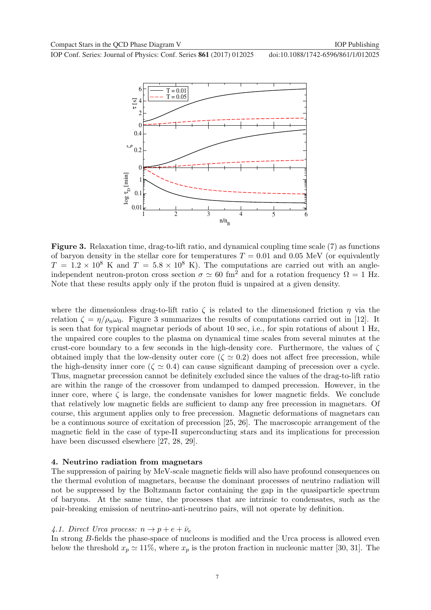

Figure 3. Relaxation time, drag-to-lift ratio, and dynamical coupling time scale (7) as functions of baryon density in the stellar core for temperatures  $T = 0.01$  and 0.05 MeV (or equivalently  $T = 1.2 \times 10^8$  K and  $T = 5.8 \times 10^8$  K). The computations are carried out with an angleindependent neutron-proton cross section  $\sigma \simeq 60$  fm<sup>2</sup> and for a rotation frequency  $\Omega = 1$  Hz. Note that these results apply only if the proton fluid is unpaired at a given density.

where the dimensionless drag-to-lift ratio  $\zeta$  is related to the dimensioned friction  $\eta$  via the relation  $\zeta = \eta/\rho_n\omega_0$ . Figure 3 summarizes the results of computations carried out in [12]. It is seen that for typical magnetar periods of about 10 sec, i.e., for spin rotations of about 1 Hz, the unpaired core couples to the plasma on dynamical time scales from several minutes at the crust-core boundary to a few seconds in the high-density core. Furthermore, the values of  $\zeta$ obtained imply that the low-density outer core ( $\zeta \simeq 0.2$ ) does not affect free precession, while the high-density inner core ( $\zeta \simeq 0.4$ ) can cause significant damping of precession over a cycle. Thus, magnetar precession cannot be definitely excluded since the values of the drag-to-lift ratio are within the range of the crossover from undamped to damped precession. However, in the inner core, where  $\zeta$  is large, the condensate vanishes for lower magnetic fields. We conclude that relatively low magnetic fields are sufficient to damp any free precession in magnetars. Of course, this argument applies only to free precession. Magnetic deformations of magnetars can be a continuous source of excitation of precession [25, 26]. The macroscopic arrangement of the magnetic field in the case of type-II superconducting stars and its implications for precession have been discussed elsewhere [27, 28, 29].

#### 4. Neutrino radiation from magnetars

The suppression of pairing by MeV-scale magnetic fields will also have profound consequences on the thermal evolution of magnetars, because the dominant processes of neutrino radiation will not be suppressed by the Boltzmann factor containing the gap in the quasiparticle spectrum of baryons. At the same time, the processes that are intrinsic to condensates, such as the pair-breaking emission of neutrino-anti-neutrino pairs, will not operate by definition.

#### 4.1. Direct Urca process:  $n \to p + e + \bar{\nu}_e$

In strong B-fields the phase-space of nucleons is modified and the Urca process is allowed even below the threshold  $x_p \approx 11\%$ , where  $x_p$  is the proton fraction in nucleonic matter [30, 31]. The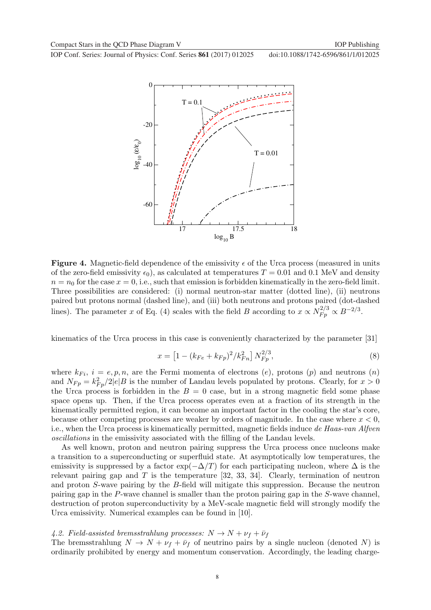

**Figure 4.** Magnetic-field dependence of the emissivity  $\epsilon$  of the Urca process (measured in units of the zero-field emissivity  $\epsilon_0$ , as calculated at temperatures  $T = 0.01$  and 0.1 MeV and density  $n = n_0$  for the case  $x = 0$ , i.e., such that emission is forbidden kinematically in the zero-field limit. Three possibilities are considered: (i) normal neutron-star matter (dotted line), (ii) neutrons paired but protons normal (dashed line), and (iii) both neutrons and protons paired (dot-dashed lines). The parameter x of Eq. (4) scales with the field B according to  $x \propto N_{Fp}^{2/3} \propto B^{-2/3}$ .

kinematics of the Urca process in this case is conveniently characterized by the parameter [31]

$$
x = \left[1 - (k_{Fe} + k_{Fp})^2 / k_{Fn}^2\right] N_{Fp}^{2/3},\tag{8}
$$

where  $k_{Fi}$ ,  $i = e, p, n$ , are the Fermi momenta of electrons  $(e)$ , protons  $(p)$  and neutrons  $(n)$ and  $N_{Fp} = k_{Fp}^2/2|e|B$  is the number of Landau levels populated by protons. Clearly, for  $x > 0$ the Urca process is forbidden in the  $B = 0$  case, but in a strong magnetic field some phase space opens up. Then, if the Urca process operates even at a fraction of its strength in the kinematically permitted region, it can become an important factor in the cooling the star's core, because other competing processes are weaker by orders of magnitude. In the case where  $x < 0$ , i.e., when the Urca process is kinematically permitted, magnetic fields induce de Haas-van Alfven oscillations in the emissivity associated with the filling of the Landau levels.

As well known, proton and neutron pairing suppress the Urca process once nucleons make a transition to a superconducting or superfluid state. At asymptotically low temperatures, the emissivity is suppressed by a factor  $\exp(-\Delta/T)$  for each participating nucleon, where  $\Delta$  is the relevant pairing gap and  $T$  is the temperature [32, 33, 34]. Clearly, termination of neutron and proton S-wave pairing by the B-field will mitigate this suppression. Because the neutron pairing gap in the P-wave channel is smaller than the proton pairing gap in the S-wave channel, destruction of proton superconductivity by a MeV-scale magnetic field will strongly modify the Urca emissivity. Numerical examples can be found in [10].

#### 4.2. Field-assisted bremsstrahlung processes:  $N \rightarrow N + \nu_f + \bar{\nu}_f$

The bremsstrahlung  $N \to N + \nu_f + \bar{\nu}_f$  of neutrino pairs by a single nucleon (denoted N) is ordinarily prohibited by energy and momentum conservation. Accordingly, the leading charge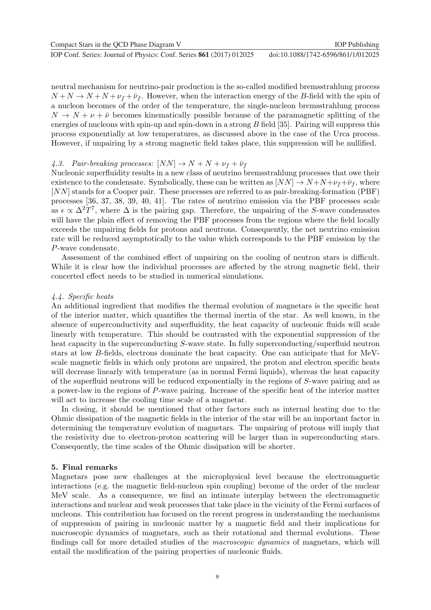neutral mechanism for neutrino-pair production is the so-called modified bremsstrahlung process  $N + N \rightarrow N + N + \nu_f + \bar{\nu}_f$ . However, when the interaction energy of the B-field with the spin of a nucleon becomes of the order of the temperature, the single-nucleon bremsstrahlung process  $N \to N + \nu + \bar{\nu}$  becomes kinematically possible because of the paramagnetic splitting of the energies of nucleons with spin-up and spin-down in a strong  $B$  field [35]. Pairing will suppress this process exponentially at low temperatures, as discussed above in the case of the Urca process. However, if unpairing by a strong magnetic field takes place, this suppression will be nullified.

## 4.3. Pair-breaking processes:  $[NN] \rightarrow N + N + \nu_f + \bar{\nu}_f$

Nucleonic superfluidity results in a new class of neutrino bremsstrahlung processes that owe their existence to the condensate. Symbolically, these can be written as  $[NN] \rightarrow N+N+\nu_f+\bar{\nu}_f$ , where [NN] stands for a Cooper pair. These processes are referred to as pair-breaking-formation (PBF) processes [36, 37, 38, 39, 40, 41]. The rates of neutrino emission via the PBF processes scale as  $\epsilon \propto \Delta^2 T^7$ , where  $\Delta$  is the pairing gap. Therefore, the unpairing of the S-wave condensates will have the plain effect of removing the PBF processes from the regions where the field locally exceeds the unpairing fields for protons and neutrons. Consequently, the net neutrino emission rate will be reduced asymptotically to the value which corresponds to the PBF emission by the P-wave condensate.

Assessment of the combined effect of unpairing on the cooling of neutron stars is difficult. While it is clear how the individual processes are affected by the strong magnetic field, their concerted effect needs to be studied in numerical simulations.

### 4.4. Specific heats

An additional ingredient that modifies the thermal evolution of magnetars is the specific heat of the interior matter, which quantifies the thermal inertia of the star. As well known, in the absence of superconductivity and superfluidity, the heat capacity of nucleonic fluids will scale linearly with temperature. This should be contrasted with the exponential suppression of the heat capacity in the superconducting S-wave state. In fully superconducting/superfluid neutron stars at low B-fields, electrons dominate the heat capacity. One can anticipate that for MeVscale magnetic fields in which only protons are unpaired, the proton and electron specific heats will decrease linearly with temperature (as in normal Fermi liquids), whereas the heat capacity of the superfluid neutrons will be reduced exponentially in the regions of S-wave pairing and as a power-law in the regions of P-wave pairing. Increase of the specific heat of the interior matter will act to increase the cooling time scale of a magnetar.

In closing, it should be mentioned that other factors such as internal heating due to the Ohmic dissipation of the magnetic fields in the interior of the star will be an important factor in determining the temperature evolution of magnetars. The unpairing of protons will imply that the resistivity due to electron-proton scattering will be larger than in superconducting stars. Consequently, the time scales of the Ohmic dissipation will be shorter.

#### 5. Final remarks

Magnetars pose new challenges at the microphysical level because the electromagnetic interactions (e.g. the magnetic field-nucleon spin coupling) become of the order of the nuclear MeV scale. As a consequence, we find an intimate interplay between the electromagnetic interactions and nuclear and weak processes that take place in the vicinity of the Fermi surfaces of nucleons. This contribution has focused on the recent progress in understanding the mechanisms of suppression of pairing in nucleonic matter by a magnetic field and their implications for macroscopic dynamics of magnetars, such as their rotational and thermal evolutions. These findings call for more detailed studies of the macroscopic dynamics of magnetars, which will entail the modification of the pairing properties of nucleonic fluids.